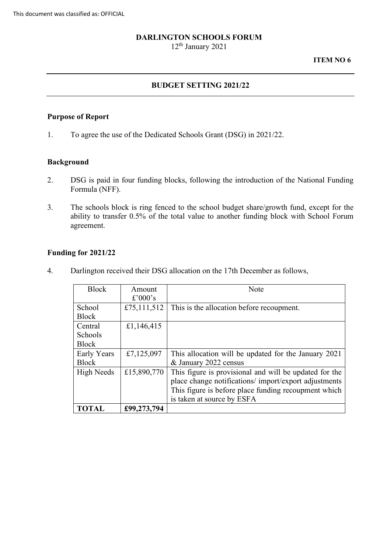#### **DARLINGTON SCHOOLS FORUM**

12th January 2021

#### **ITEM NO 6**

## **BUDGET SETTING 2021/22**

### **Purpose of Report**

1. To agree the use of the Dedicated Schools Grant (DSG) in 2021/22.

## **Background**

- Formula (NFF). 2. DSG is paid in four funding blocks, following the introduction of the National Funding
- ability to transfer 0.5% of the total value to another funding block with School Forum 3. The schools block is ring fenced to the school budget share/growth fund, except for the agreement.

#### **Funding for 2021/22**

4. Darlington received their DSG allocation on the 17th December as follows,

| <b>Block</b>   | Amount      | <b>Note</b>                                            |
|----------------|-------------|--------------------------------------------------------|
|                | £'000's     |                                                        |
| School         | £75,111,512 | This is the allocation before recoupment.              |
| <b>Block</b>   |             |                                                        |
| Central        | £1,146,415  |                                                        |
| <b>Schools</b> |             |                                                        |
| <b>Block</b>   |             |                                                        |
| Early Years    | £7,125,097  | This allocation will be updated for the January 2021   |
| <b>Block</b>   |             | & January 2022 census                                  |
| High Needs     | £15,890,770 | This figure is provisional and will be updated for the |
|                |             | place change notifications/import/export adjustments   |
|                |             | This figure is before place funding recoupment which   |
|                |             | is taken at source by ESFA                             |
| <b>TOTAL</b>   | £99,273,794 |                                                        |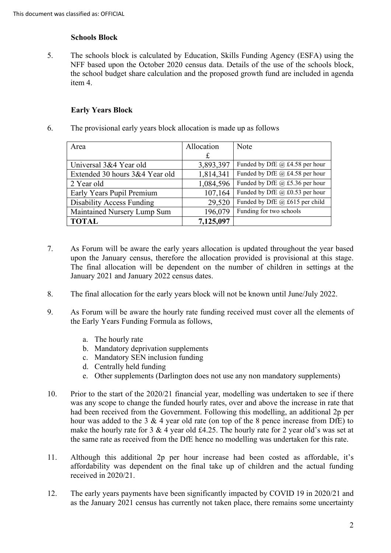## **Schools Block**

 5. The schools block is calculated by Education, Skills Funding Agency (ESFA) using the item 4. NFF based upon the October 2020 census data. Details of the use of the schools block, the school budget share calculation and the proposed growth fund are included in agenda

# **Early Years Block**

6. The provisional early years block allocation is made up as follows

| Area                             | Allocation | <b>Note</b>                           |
|----------------------------------|------------|---------------------------------------|
|                                  | £          |                                       |
| Universal 3&4 Year old           | 3,893,397  | Funded by DfE $\omega$ £4.58 per hour |
| Extended 30 hours 3&4 Year old   | 1,814,341  | Funded by DfE @ £4.58 per hour        |
| 2 Year old                       | 1,084,596  | Funded by DfE $(a)$ £5.36 per hour    |
| Early Years Pupil Premium        | 107,164    | Funded by DfE @ £0.53 per hour        |
| <b>Disability Access Funding</b> | 29,520     | Funded by DfE @ £615 per child        |
| Maintained Nursery Lump Sum      | 196,079    | Funding for two schools               |
| <b>TOTAL</b>                     | 7,125,097  |                                       |

- January 2021 and January 2022 census dates. 7. As Forum will be aware the early years allocation is updated throughout the year based upon the January census, therefore the allocation provided is provisional at this stage. The final allocation will be dependent on the number of children in settings at the
- 8. The final allocation for the early years block will not be known until June/July 2022.
- 9. As Forum will be aware the hourly rate funding received must cover all the elements of the Early Years Funding Formula as follows,
	- a. The hourly rate
	- b. Mandatory deprivation supplements
	- c. Mandatory SEN inclusion funding
	- d. Centrally held funding
	- e. Other supplements (Darlington does not use any non mandatory supplements)
- 10. Prior to the start of the 2020/21 financial year, modelling was undertaken to see if there was any scope to change the funded hourly rates, over and above the increase in rate that had been received from the Government. Following this modelling, an additional 2p per hour was added to the 3 & 4 year old rate (on top of the 8 pence increase from DfE) to make the hourly rate for 3 & 4 year old £4.25. The hourly rate for 2 year old's was set at the same rate as received from the DfE hence no modelling was undertaken for this rate.
- affordability was dependent on the final take up of children and the actual funding 11. Although this additional 2p per hour increase had been costed as affordable, it's received in 2020/21.
- 12. The early years payments have been significantly impacted by COVID 19 in 2020/21 and as the January 2021 census has currently not taken place, there remains some uncertainty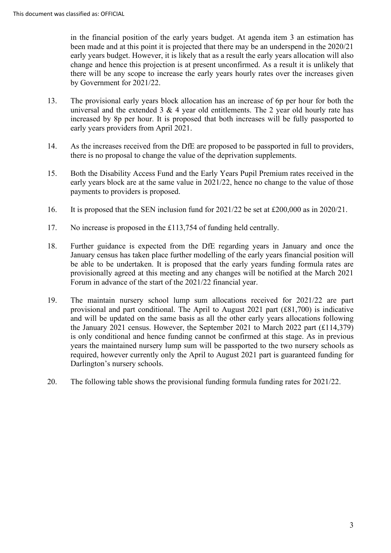been made and at this point it is projected that there may be an underspend in the 2020/21 change and hence this projection is at present unconfirmed. As a result it is unlikely that in the financial position of the early years budget. At agenda item 3 an estimation has early years budget. However, it is likely that as a result the early years allocation will also there will be any scope to increase the early years hourly rates over the increases given by Government for 2021/22.

- universal and the extended 3 & 4 year old entitlements. The 2 year old hourly rate has 13. The provisional early years block allocation has an increase of 6p per hour for both the increased by 8p per hour. It is proposed that both increases will be fully passported to early years providers from April 2021.
- 14. As the increases received from the DfE are proposed to be passported in full to providers, there is no proposal to change the value of the deprivation supplements.
- 15. Both the Disability Access Fund and the Early Years Pupil Premium rates received in the early years block are at the same value in 2021/22, hence no change to the value of those payments to providers is proposed.
- 16. It is proposed that the SEN inclusion fund for 2021/22 be set at £200,000 as in 2020/21.
- 17. No increase is proposed in the £113,754 of funding held centrally.
- 18. Further guidance is expected from the DfE regarding years in January and once the January census has taken place further modelling of the early years financial position will be able to be undertaken. It is proposed that the early years funding formula rates are provisionally agreed at this meeting and any changes will be notified at the March 2021 Forum in advance of the start of the 2021/22 financial year.
- 19. The maintain nursery school lump sum allocations received for 2021/22 are part provisional and part conditional. The April to August 2021 part (£81,700) is indicative and will be updated on the same basis as all the other early years allocations following the January 2021 census. However, the September 2021 to March 2022 part (£114,379) is only conditional and hence funding cannot be confirmed at this stage. As in previous years the maintained nursery lump sum will be passported to the two nursery schools as required, however currently only the April to August 2021 part is guaranteed funding for Darlington's nursery schools.
- 20. The following table shows the provisional funding formula funding rates for 2021/22.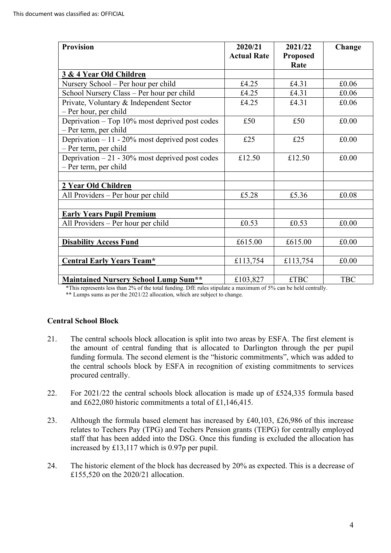| <b>Provision</b>                                  | 2020/21            | 2021/22         | Change     |
|---------------------------------------------------|--------------------|-----------------|------------|
|                                                   | <b>Actual Rate</b> | <b>Proposed</b> |            |
|                                                   |                    | Rate            |            |
| 3 & 4 Year Old Children                           |                    |                 |            |
| Nursery School - Per hour per child               | £4.25              | £4.31           | £0.06      |
| School Nursery Class - Per hour per child         | £4.25              | £4.31           | £0.06      |
| Private, Voluntary & Independent Sector           | £4.25              | £4.31           | £0.06      |
| - Per hour, per child                             |                    |                 |            |
| Deprivation – Top 10% most deprived post codes    | £50                | £50             | £0.00      |
| - Per term, per child                             |                    |                 |            |
| Deprivation $-11 - 20\%$ most deprived post codes | £25                | £25             | £0.00      |
| - Per term, per child                             |                    |                 |            |
| Deprivation $-21 - 30\%$ most deprived post codes | £12.50             | £12.50          | £0.00      |
| - Per term, per child                             |                    |                 |            |
|                                                   |                    |                 |            |
| 2 Year Old Children                               |                    |                 |            |
| All Providers - Per hour per child                | £5.28              | £5.36           | £0.08      |
|                                                   |                    |                 |            |
| <b>Early Years Pupil Premium</b>                  |                    |                 |            |
| All Providers – Per hour per child                | £0.53              | £0.53           | £0.00      |
|                                                   |                    |                 |            |
| <b>Disability Access Fund</b>                     | £615.00            | £615.00         | £0.00      |
|                                                   |                    |                 |            |
| <b>Central Early Years Team*</b>                  | £113,754           | £113,754        | £0.00      |
|                                                   |                    |                 |            |
| <b>Maintained Nursery School Lump Sum**</b>       | £103,827           | <b>£TBC</b>     | <b>TBC</b> |

\*This represents less than 2% of the total funding. DfE rules stipulate a maximum of 5% can be held centrally.

\*\* Lumps sums as per the 2021/22 allocation, which are subject to change.

#### **Central School Block**

- funding formula. The second element is the "historic commitments", which was added to 21. The central schools block allocation is split into two areas by ESFA. The first element is the amount of central funding that is allocated to Darlington through the per pupil the central schools block by ESFA in recognition of existing commitments to services procured centrally.
- 22. For 2021/22 the central schools block allocation is made up of £524,335 formula based and £622,080 historic commitments a total of £1,146,415.
- relates to Techers Pay (TPG) and Techers Pension grants (TEPG) for centrally employed 23. Although the formula based element has increased by £40,103, £26,986 of this increase staff that has been added into the DSG. Once this funding is excluded the allocation has increased by £13,117 which is 0.97p per pupil.
- 24. The historic element of the block has decreased by 20% as expected. This is a decrease of £155,520 on the 2020/21 allocation.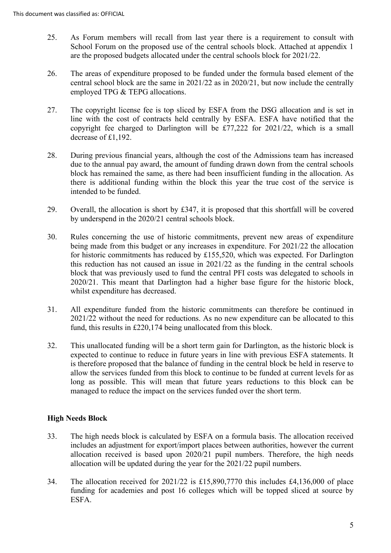- School Forum on the proposed use of the central schools block. Attached at appendix 1 25. As Forum members will recall from last year there is a requirement to consult with are the proposed budgets allocated under the central schools block for 2021/22.
- employed TPG & TEPG allocations. 26. The areas of expenditure proposed to be funded under the formula based element of the central school block are the same in 2021/22 as in 2020/21, but now include the centrally
- copyright fee charged to Darlington will be £77,222 for 2021/22, which is a small decrease of £1,192. 27. The copyright license fee is top sliced by ESFA from the DSG allocation and is set in line with the cost of contracts held centrally by ESFA. ESFA have notified that the
- there is additional funding within the block this year the true cost of the service is 28. During previous financial years, although the cost of the Admissions team has increased due to the annual pay award, the amount of funding drawn down from the central schools block has remained the same, as there had been insufficient funding in the allocation. As intended to be funded.
- by underspend in the 2020/21 central schools block. 29. Overall, the allocation is short by £347, it is proposed that this shortfall will be covered
- whilst expenditure has decreased. 30. Rules concerning the use of historic commitments, prevent new areas of expenditure being made from this budget or any increases in expenditure. For 2021/22 the allocation for historic commitments has reduced by £155,520, which was expected. For Darlington this reduction has not caused an issue in 2021/22 as the funding in the central schools block that was previously used to fund the central PFI costs was delegated to schools in 2020/21. This meant that Darlington had a higher base figure for the historic block,
- 31. All expenditure funded from the historic commitments can therefore be continued in 2021/22 without the need for reductions. As no new expenditure can be allocated to this fund, this results in £220,174 being unallocated from this block.
- managed to reduce the impact on the services funded over the short term. 32. This unallocated funding will be a short term gain for Darlington, as the historic block is expected to continue to reduce in future years in line with previous ESFA statements. It is therefore proposed that the balance of funding in the central block be held in reserve to allow the services funded from this block to continue to be funded at current levels for as long as possible. This will mean that future years reductions to this block can be

# **High Needs Block**

- allocation received is based upon 2020/21 pupil numbers. Therefore, the high needs allocation will be updated during the year for the 2021/22 pupil numbers. 33. The high needs block is calculated by ESFA on a formula basis. The allocation received includes an adjustment for export/import places between authorities, however the current
- 34. The allocation received for 2021/22 is £15,890,7770 this includes £4,136,000 of place funding for academies and post 16 colleges which will be topped sliced at source by ESFA.